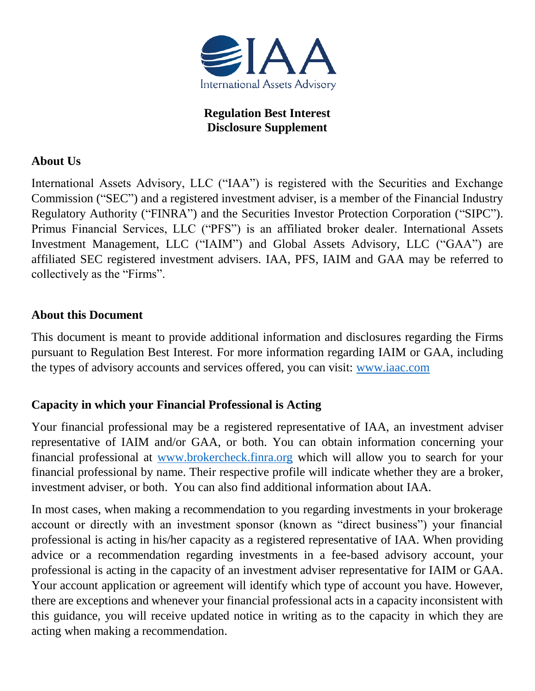

**Regulation Best Interest Disclosure Supplement**

#### **About Us**

International Assets Advisory, LLC ("IAA") is registered with the Securities and Exchange Commission ("SEC") and a registered investment adviser, is a member of the Financial Industry Regulatory Authority ("FINRA") and the Securities Investor Protection Corporation ("SIPC"). Primus Financial Services, LLC ("PFS") is an affiliated broker dealer. International Assets Investment Management, LLC ("IAIM") and Global Assets Advisory, LLC ("GAA") are affiliated SEC registered investment advisers. IAA, PFS, IAIM and GAA may be referred to collectively as the "Firms".

### **About this Document**

This document is meant to provide additional information and disclosures regarding the Firms pursuant to Regulation Best Interest. For more information regarding IAIM or GAA, including the types of advisory accounts and services offered, you can visit: [www.iaac.com](http://www.iaac.com/)

# **Capacity in which your Financial Professional is Acting**

Your financial professional may be a registered representative of IAA, an investment adviser representative of IAIM and/or GAA, or both. You can obtain information concerning your financial professional at [www.brokercheck.finra.org](http://www.brokercheck.finra.org/) which will allow you to search for your financial professional by name. Their respective profile will indicate whether they are a broker, investment adviser, or both. You can also find additional information about IAA.

In most cases, when making a recommendation to you regarding investments in your brokerage account or directly with an investment sponsor (known as "direct business") your financial professional is acting in his/her capacity as a registered representative of IAA. When providing advice or a recommendation regarding investments in a fee-based advisory account, your professional is acting in the capacity of an investment adviser representative for IAIM or GAA. Your account application or agreement will identify which type of account you have. However, there are exceptions and whenever your financial professional acts in a capacity inconsistent with this guidance, you will receive updated notice in writing as to the capacity in which they are acting when making a recommendation.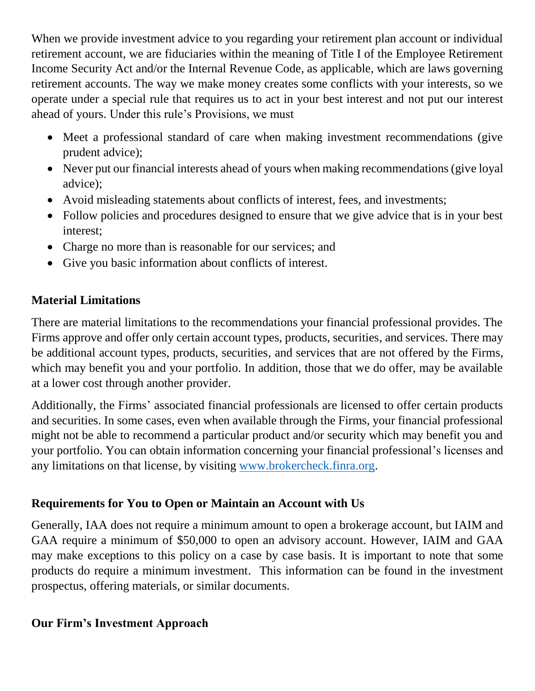When we provide investment advice to you regarding your retirement plan account or individual retirement account, we are fiduciaries within the meaning of Title I of the Employee Retirement Income Security Act and/or the Internal Revenue Code, as applicable, which are laws governing retirement accounts. The way we make money creates some conflicts with your interests, so we operate under a special rule that requires us to act in your best interest and not put our interest ahead of yours. Under this rule's Provisions, we must

- Meet a professional standard of care when making investment recommendations (give prudent advice);
- Never put our financial interests ahead of yours when making recommendations (give loyal advice);
- Avoid misleading statements about conflicts of interest, fees, and investments;
- Follow policies and procedures designed to ensure that we give advice that is in your best interest;
- Charge no more than is reasonable for our services; and
- Give you basic information about conflicts of interest.

# **Material Limitations**

There are material limitations to the recommendations your financial professional provides. The Firms approve and offer only certain account types, products, securities, and services. There may be additional account types, products, securities, and services that are not offered by the Firms, which may benefit you and your portfolio. In addition, those that we do offer, may be available at a lower cost through another provider.

Additionally, the Firms' associated financial professionals are licensed to offer certain products and securities. In some cases, even when available through the Firms, your financial professional might not be able to recommend a particular product and/or security which may benefit you and your portfolio. You can obtain information concerning your financial professional's licenses and any limitations on that license, by visiting [www.brokercheck.finra.org.](http://www.brokercheck.finra.org/)

# **Requirements for You to Open or Maintain an Account with Us**

Generally, IAA does not require a minimum amount to open a brokerage account, but IAIM and GAA require a minimum of \$50,000 to open an advisory account. However, IAIM and GAA may make exceptions to this policy on a case by case basis. It is important to note that some products do require a minimum investment. This information can be found in the investment prospectus, offering materials, or similar documents.

# **Our Firm's Investment Approach**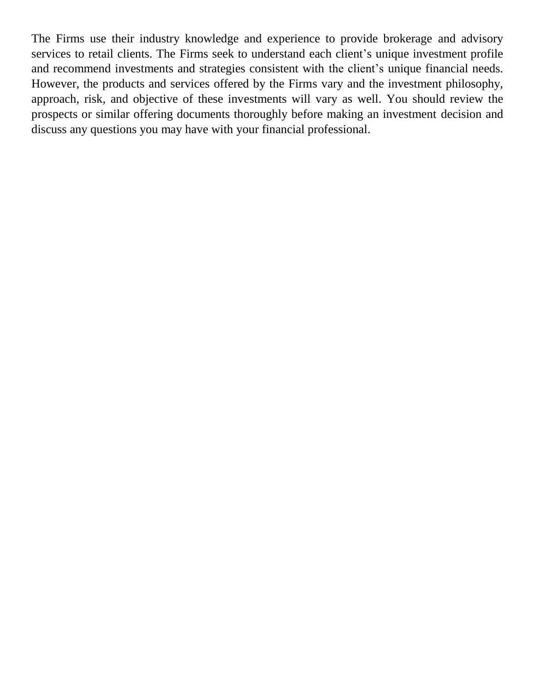The Firms use their industry knowledge and experience to provide brokerage and advisory services to retail clients. The Firms seek to understand each client's unique investment profile and recommend investments and strategies consistent with the client's unique financial needs. However, the products and services offered by the Firms vary and the investment philosophy, approach, risk, and objective of these investments will vary as well. You should review the prospects or similar offering documents thoroughly before making an investment decision and discuss any questions you may have with your financial professional.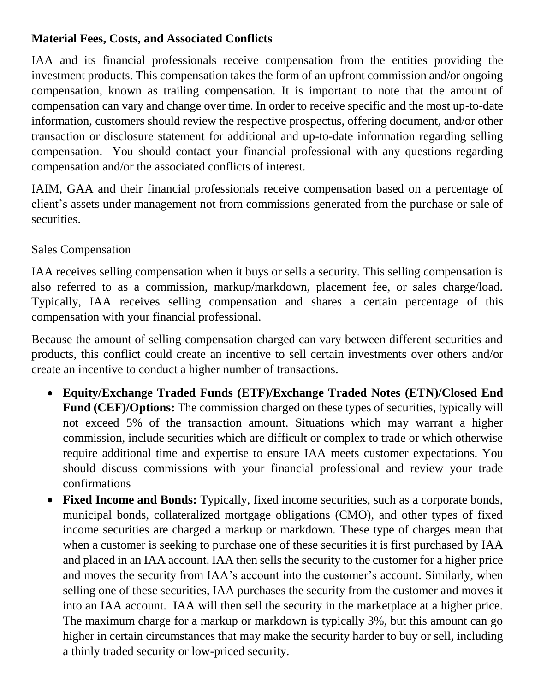# **Material Fees, Costs, and Associated Conflicts**

IAA and its financial professionals receive compensation from the entities providing the investment products. This compensation takes the form of an upfront commission and/or ongoing compensation, known as trailing compensation. It is important to note that the amount of compensation can vary and change over time. In order to receive specific and the most up-to-date information, customers should review the respective prospectus, offering document, and/or other transaction or disclosure statement for additional and up-to-date information regarding selling compensation. You should contact your financial professional with any questions regarding compensation and/or the associated conflicts of interest.

IAIM, GAA and their financial professionals receive compensation based on a percentage of client's assets under management not from commissions generated from the purchase or sale of securities.

#### Sales Compensation

IAA receives selling compensation when it buys or sells a security. This selling compensation is also referred to as a commission, markup/markdown, placement fee, or sales charge/load. Typically, IAA receives selling compensation and shares a certain percentage of this compensation with your financial professional.

Because the amount of selling compensation charged can vary between different securities and products, this conflict could create an incentive to sell certain investments over others and/or create an incentive to conduct a higher number of transactions.

- **Equity/Exchange Traded Funds (ETF)/Exchange Traded Notes (ETN)/Closed End Fund (CEF)/Options:** The commission charged on these types of securities, typically will not exceed 5% of the transaction amount. Situations which may warrant a higher commission, include securities which are difficult or complex to trade or which otherwise require additional time and expertise to ensure IAA meets customer expectations. You should discuss commissions with your financial professional and review your trade confirmations
- **Fixed Income and Bonds:** Typically, fixed income securities, such as a corporate bonds, municipal bonds, collateralized mortgage obligations (CMO), and other types of fixed income securities are charged a markup or markdown. These type of charges mean that when a customer is seeking to purchase one of these securities it is first purchased by IAA and placed in an IAA account. IAA then sells the security to the customer for a higher price and moves the security from IAA's account into the customer's account. Similarly, when selling one of these securities, IAA purchases the security from the customer and moves it into an IAA account. IAA will then sell the security in the marketplace at a higher price. The maximum charge for a markup or markdown is typically 3%, but this amount can go higher in certain circumstances that may make the security harder to buy or sell, including a thinly traded security or low-priced security.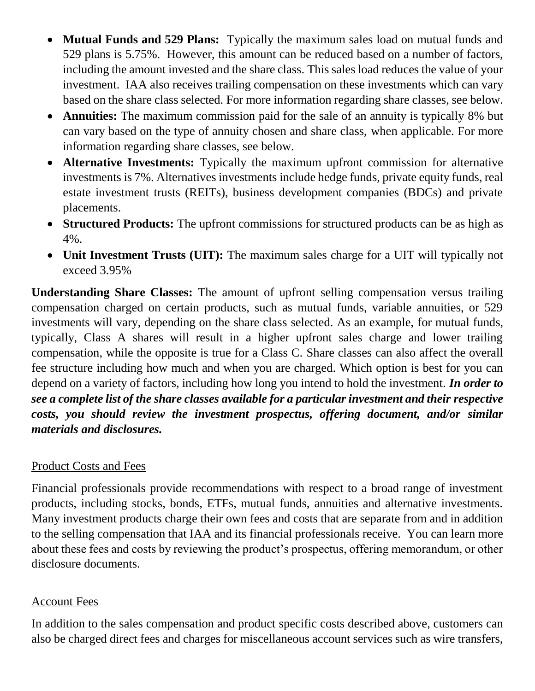- **Mutual Funds and 529 Plans:** Typically the maximum sales load on mutual funds and 529 plans is 5.75%. However, this amount can be reduced based on a number of factors, including the amount invested and the share class. This sales load reduces the value of your investment. IAA also receives trailing compensation on these investments which can vary based on the share class selected. For more information regarding share classes, see below.
- **Annuities:** The maximum commission paid for the sale of an annuity is typically 8% but can vary based on the type of annuity chosen and share class, when applicable. For more information regarding share classes, see below.
- **Alternative Investments:** Typically the maximum upfront commission for alternative investments is 7%. Alternatives investments include hedge funds, private equity funds, real estate investment trusts (REITs), business development companies (BDCs) and private placements.
- **Structured Products:** The upfront commissions for structured products can be as high as 4%.
- **Unit Investment Trusts (UIT):** The maximum sales charge for a UIT will typically not exceed 3.95%

**Understanding Share Classes:** The amount of upfront selling compensation versus trailing compensation charged on certain products, such as mutual funds, variable annuities, or 529 investments will vary, depending on the share class selected. As an example, for mutual funds, typically, Class A shares will result in a higher upfront sales charge and lower trailing compensation, while the opposite is true for a Class C. Share classes can also affect the overall fee structure including how much and when you are charged. Which option is best for you can depend on a variety of factors, including how long you intend to hold the investment. *In order to see a complete list of the share classes available for a particular investment and their respective costs, you should review the investment prospectus, offering document, and/or similar materials and disclosures.* 

#### Product Costs and Fees

Financial professionals provide recommendations with respect to a broad range of investment products, including stocks, bonds, ETFs, mutual funds, annuities and alternative investments. Many investment products charge their own fees and costs that are separate from and in addition to the selling compensation that IAA and its financial professionals receive. You can learn more about these fees and costs by reviewing the product's prospectus, offering memorandum, or other disclosure documents.

#### Account Fees

In addition to the sales compensation and product specific costs described above, customers can also be charged direct fees and charges for miscellaneous account services such as wire transfers,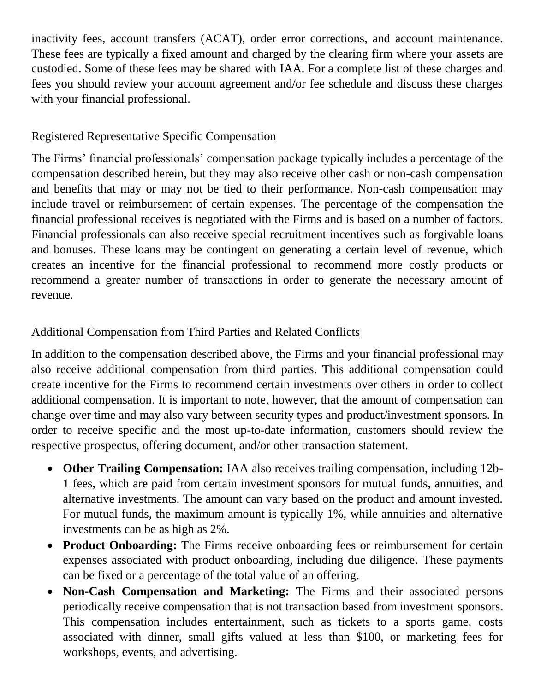inactivity fees, account transfers (ACAT), order error corrections, and account maintenance. These fees are typically a fixed amount and charged by the clearing firm where your assets are custodied. Some of these fees may be shared with IAA. For a complete list of these charges and fees you should review your account agreement and/or fee schedule and discuss these charges with your financial professional.

### Registered Representative Specific Compensation

The Firms' financial professionals' compensation package typically includes a percentage of the compensation described herein, but they may also receive other cash or non-cash compensation and benefits that may or may not be tied to their performance. Non-cash compensation may include travel or reimbursement of certain expenses. The percentage of the compensation the financial professional receives is negotiated with the Firms and is based on a number of factors. Financial professionals can also receive special recruitment incentives such as forgivable loans and bonuses. These loans may be contingent on generating a certain level of revenue, which creates an incentive for the financial professional to recommend more costly products or recommend a greater number of transactions in order to generate the necessary amount of revenue.

# Additional Compensation from Third Parties and Related Conflicts

In addition to the compensation described above, the Firms and your financial professional may also receive additional compensation from third parties. This additional compensation could create incentive for the Firms to recommend certain investments over others in order to collect additional compensation. It is important to note, however, that the amount of compensation can change over time and may also vary between security types and product/investment sponsors. In order to receive specific and the most up-to-date information, customers should review the respective prospectus, offering document, and/or other transaction statement.

- **Other Trailing Compensation:** IAA also receives trailing compensation, including 12b-1 fees, which are paid from certain investment sponsors for mutual funds, annuities, and alternative investments. The amount can vary based on the product and amount invested. For mutual funds, the maximum amount is typically 1%, while annuities and alternative investments can be as high as 2%.
- **Product Onboarding:** The Firms receive onboarding fees or reimbursement for certain expenses associated with product onboarding, including due diligence. These payments can be fixed or a percentage of the total value of an offering.
- **Non-Cash Compensation and Marketing:** The Firms and their associated persons periodically receive compensation that is not transaction based from investment sponsors. This compensation includes entertainment, such as tickets to a sports game, costs associated with dinner, small gifts valued at less than \$100, or marketing fees for workshops, events, and advertising.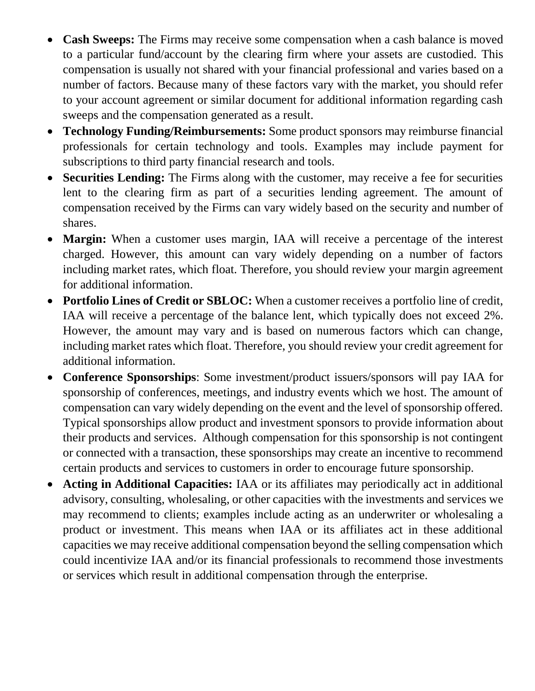- **Cash Sweeps:** The Firms may receive some compensation when a cash balance is moved to a particular fund/account by the clearing firm where your assets are custodied. This compensation is usually not shared with your financial professional and varies based on a number of factors. Because many of these factors vary with the market, you should refer to your account agreement or similar document for additional information regarding cash sweeps and the compensation generated as a result.
- **Technology Funding/Reimbursements:** Some product sponsors may reimburse financial professionals for certain technology and tools. Examples may include payment for subscriptions to third party financial research and tools.
- **Securities Lending:** The Firms along with the customer, may receive a fee for securities lent to the clearing firm as part of a securities lending agreement. The amount of compensation received by the Firms can vary widely based on the security and number of shares.
- **Margin:** When a customer uses margin, IAA will receive a percentage of the interest charged. However, this amount can vary widely depending on a number of factors including market rates, which float. Therefore, you should review your margin agreement for additional information.
- **Portfolio Lines of Credit or SBLOC:** When a customer receives a portfolio line of credit, IAA will receive a percentage of the balance lent, which typically does not exceed 2%. However, the amount may vary and is based on numerous factors which can change, including market rates which float. Therefore, you should review your credit agreement for additional information.
- **Conference Sponsorships**: Some investment/product issuers/sponsors will pay IAA for sponsorship of conferences, meetings, and industry events which we host. The amount of compensation can vary widely depending on the event and the level of sponsorship offered. Typical sponsorships allow product and investment sponsors to provide information about their products and services. Although compensation for this sponsorship is not contingent or connected with a transaction, these sponsorships may create an incentive to recommend certain products and services to customers in order to encourage future sponsorship.
- **Acting in Additional Capacities:** IAA or its affiliates may periodically act in additional advisory, consulting, wholesaling, or other capacities with the investments and services we may recommend to clients; examples include acting as an underwriter or wholesaling a product or investment. This means when IAA or its affiliates act in these additional capacities we may receive additional compensation beyond the selling compensation which could incentivize IAA and/or its financial professionals to recommend those investments or services which result in additional compensation through the enterprise.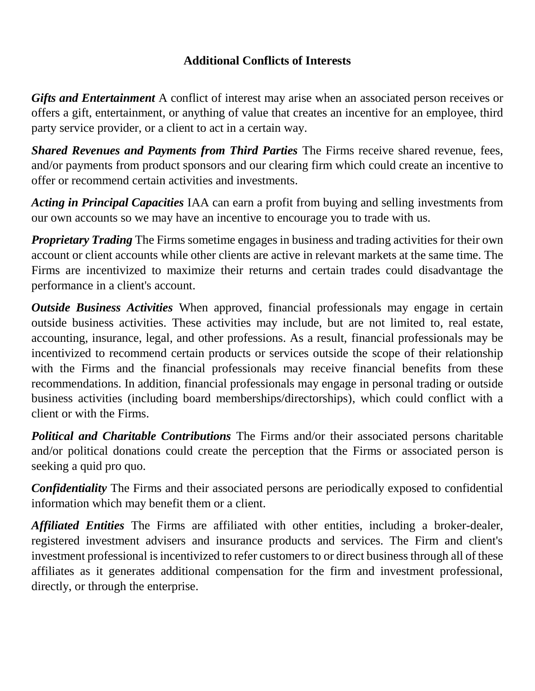### **Additional Conflicts of Interests**

*Gifts and Entertainment* A conflict of interest may arise when an associated person receives or offers a gift, entertainment, or anything of value that creates an incentive for an employee, third party service provider, or a client to act in a certain way.

*Shared Revenues and Payments from Third Parties* The Firms receive shared revenue, fees, and/or payments from product sponsors and our clearing firm which could create an incentive to offer or recommend certain activities and investments.

*Acting in Principal Capacities* IAA can earn a profit from buying and selling investments from our own accounts so we may have an incentive to encourage you to trade with us.

*Proprietary Trading* The Firms sometime engages in business and trading activities for their own account or client accounts while other clients are active in relevant markets at the same time. The Firms are incentivized to maximize their returns and certain trades could disadvantage the performance in a client's account.

*Outside Business Activities* When approved, financial professionals may engage in certain outside business activities. These activities may include, but are not limited to, real estate, accounting, insurance, legal, and other professions. As a result, financial professionals may be incentivized to recommend certain products or services outside the scope of their relationship with the Firms and the financial professionals may receive financial benefits from these recommendations. In addition, financial professionals may engage in personal trading or outside business activities (including board memberships/directorships), which could conflict with a client or with the Firms.

*Political and Charitable Contributions* The Firms and/or their associated persons charitable and/or political donations could create the perception that the Firms or associated person is seeking a quid pro quo.

*Confidentiality* The Firms and their associated persons are periodically exposed to confidential information which may benefit them or a client.

*Affiliated Entities* The Firms are affiliated with other entities, including a broker-dealer, registered investment advisers and insurance products and services. The Firm and client's investment professional is incentivized to refer customers to or direct business through all of these affiliates as it generates additional compensation for the firm and investment professional, directly, or through the enterprise.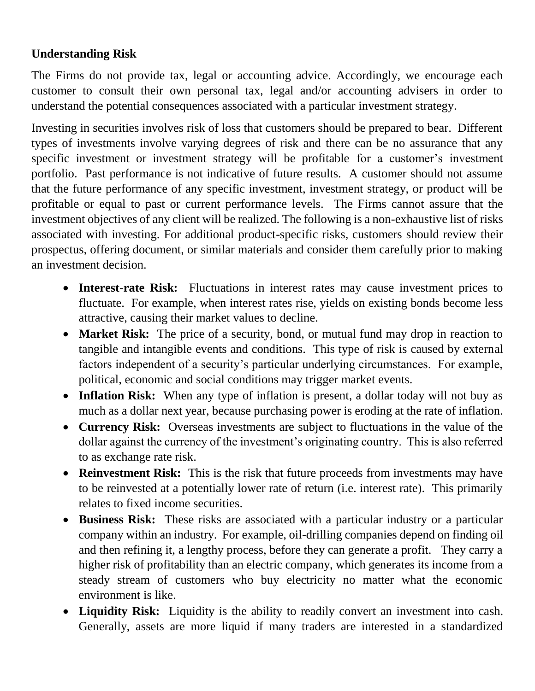# **Understanding Risk**

The Firms do not provide tax, legal or accounting advice. Accordingly, we encourage each customer to consult their own personal tax, legal and/or accounting advisers in order to understand the potential consequences associated with a particular investment strategy.

Investing in securities involves risk of loss that customers should be prepared to bear. Different types of investments involve varying degrees of risk and there can be no assurance that any specific investment or investment strategy will be profitable for a customer's investment portfolio. Past performance is not indicative of future results. A customer should not assume that the future performance of any specific investment, investment strategy, or product will be profitable or equal to past or current performance levels. The Firms cannot assure that the investment objectives of any client will be realized. The following is a non-exhaustive list of risks associated with investing. For additional product-specific risks, customers should review their prospectus, offering document, or similar materials and consider them carefully prior to making an investment decision.

- **Interest-rate Risk:** Fluctuations in interest rates may cause investment prices to fluctuate. For example, when interest rates rise, yields on existing bonds become less attractive, causing their market values to decline.
- **Market Risk:** The price of a security, bond, or mutual fund may drop in reaction to tangible and intangible events and conditions. This type of risk is caused by external factors independent of a security's particular underlying circumstances. For example, political, economic and social conditions may trigger market events.
- **Inflation Risk:** When any type of inflation is present, a dollar today will not buy as much as a dollar next year, because purchasing power is eroding at the rate of inflation.
- **Currency Risk:** Overseas investments are subject to fluctuations in the value of the dollar against the currency of the investment's originating country. This is also referred to as exchange rate risk.
- **Reinvestment Risk:** This is the risk that future proceeds from investments may have to be reinvested at a potentially lower rate of return (i.e. interest rate). This primarily relates to fixed income securities.
- **Business Risk:** These risks are associated with a particular industry or a particular company within an industry. For example, oil-drilling companies depend on finding oil and then refining it, a lengthy process, before they can generate a profit. They carry a higher risk of profitability than an electric company, which generates its income from a steady stream of customers who buy electricity no matter what the economic environment is like.
- **Liquidity Risk:** Liquidity is the ability to readily convert an investment into cash. Generally, assets are more liquid if many traders are interested in a standardized